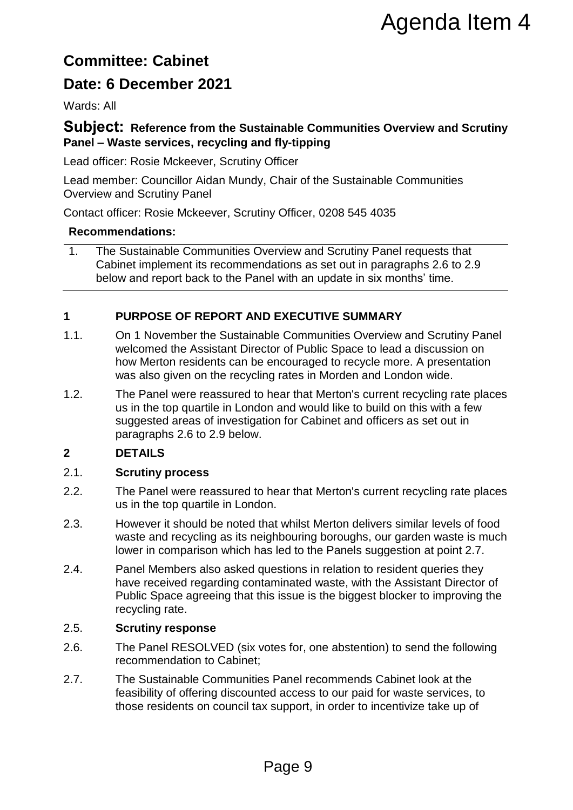# **Committee: Cabinet**

# **Date: 6 December 2021**

Wards: All

## **Subject: Reference from the Sustainable Communities Overview and Scrutiny Panel – Waste services, recycling and fly-tipping**

Lead officer: Rosie Mckeever, Scrutiny Officer

Lead member: Councillor Aidan Mundy, Chair of the Sustainable Communities Overview and Scrutiny Panel

Contact officer: [Rosie](mailto:Julia.regan@merton.gov.uk) Mckeever, Scrutiny Officer, 0208 545 4035

#### **Recommendations:**

1. The Sustainable Communities Overview and Scrutiny Panel requests that Cabinet implement its recommendations as set out in paragraphs 2.6 to 2.9 below and report back to the Panel with an update in six months' time.

## **1 PURPOSE OF REPORT AND EXECUTIVE SUMMARY**

- 1.1. On 1 November the Sustainable Communities Overview and Scrutiny Panel welcomed the Assistant Director of Public Space to lead a discussion on how Merton residents can be encouraged to recycle more. A presentation was also given on the recycling rates in Morden and London wide.
- 1.2. The Panel were reassured to hear that Merton's current recycling rate places us in the top quartile in London and would like to build on this with a few suggested areas of investigation for Cabinet and officers as set out in paragraphs 2.6 to 2.9 below. **Agenda Item 4**<br> **Agenda Item 4**<br> **Constant Constant Agent Constant Agent Constant Agent Constant Agent Constant Agent Chair of the Sustainable Communities<br>
yo Officer, 0208 545 4035<br>
verview and Scrutiny Panel requests th**

# **2 DETAILS**

#### 2.1. **Scrutiny process**

- 2.2. The Panel were reassured to hear that Merton's current recycling rate places us in the top quartile in London.
- 2.3. However it should be noted that whilst Merton delivers similar levels of food waste and recycling as its neighbouring boroughs, our garden waste is much lower in comparison which has led to the Panels suggestion at point 2.7.
- 2.4. Panel Members also asked questions in relation to resident queries they have received regarding contaminated waste, with the Assistant Director of Public Space agreeing that this issue is the biggest blocker to improving the recycling rate.

#### 2.5. **Scrutiny response**

- 2.6. The Panel RESOLVED (six votes for, one abstention) to send the following recommendation to Cabinet;
- 2.7. The Sustainable Communities Panel recommends Cabinet look at the feasibility of offering discounted access to our paid for waste services, to those residents on council tax support, in order to incentivize take up of